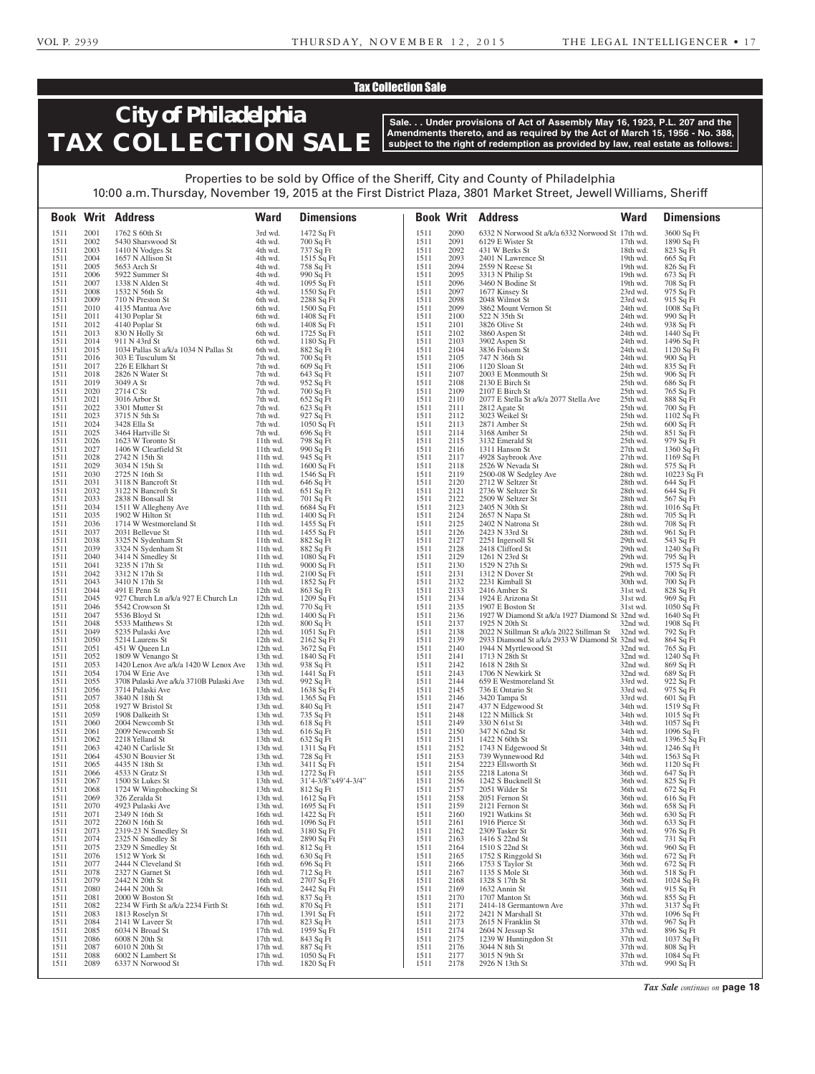### Tax Collection Sale

# **City of Philadelphia TAX COLLECTION SALE**

**Sale. . . Under provisions of Act of Assembly May 16, 1923, P.L. 207 and the Amendments thereto, and as required by the Act of March 15, 1956 - No. 388, subject to the right of redemption as provided by law, real estate as follows:**

| Properties to be sold by Office of the Sheriff, City and County of Philadelphia                                  |
|------------------------------------------------------------------------------------------------------------------|
| 10:00 a.m. Thursday, November 19, 2015 at the First District Plaza, 3801 Market Street, Jewell Williams, Sheriff |

|              |              | <b>Book Writ Address</b>                                    | <b>Ward</b>              | <b>Dimensions</b>                 |              |              | <b>Book Writ Address</b>                                                                               | <b>Ward</b>            | <b>Dimensions</b>         |
|--------------|--------------|-------------------------------------------------------------|--------------------------|-----------------------------------|--------------|--------------|--------------------------------------------------------------------------------------------------------|------------------------|---------------------------|
| 1511         | 2001         | 1762 S 60th St                                              | 3rd wd.                  | 1472 Sq Ft                        | 1511         | 2090         | 6332 N Norwood St a/k/a 6332 Norwood St 17th wd.                                                       |                        | 3600 Sq Ft                |
| 1511         | 2002         | 5430 Sharswood St                                           | 4th wd.                  | 700 Sq Ft                         | 1511         | 2091         | 6129 E Wister St                                                                                       | $17th$ wd.             | 1890 Sq Ft                |
| 1511         | 2003         | 1410 N Vodges St                                            | 4th wd.                  | 737 Sq Ft                         | 1511         | 2092         | 431 W Berks St                                                                                         | 18th wd.               | 823 Sq Ft                 |
| 1511         | 2004         | 1657 N Allison St                                           | 4th wd.                  | 1515 Sq Ft                        | 1511         | 2093         | 2401 N Lawrence St                                                                                     | 19th wd.               | 665 Sq Ft                 |
| 1511<br>1511 | 2005<br>2006 | 5653 Arch St                                                | 4th wd.                  | 758 Sq Ft                         | 1511<br>1511 | 2094<br>2095 | 2559 N Reese St<br>3313 N Philip St                                                                    | 19th wd.<br>19th wd.   | 826 Sq Ft                 |
| 1511         | 2007         | 5922 Summer St<br>1338 N Alden St                           | 4th wd.<br>4th wd.       | 990 Sq Ft<br>$1095$ Sq Ft         | 1511         | 2096         | 3460 N Bodine St                                                                                       | 19th wd.               | 673 Sq Ft<br>708 Sq Ft    |
| 1511         | 2008         | 1532 N 56th St                                              | 4th wd.                  | 1550 Sq Ft                        | 1511         | 2097         | 1677 Kinsey St                                                                                         | 23rd wd.               | 975 Sq Ft                 |
| 1511         | 2009         | 710 N Preston St                                            | 6th wd.                  | 2288 Sq Ft                        | 1511         | 2098         | 2048 Wilmot St                                                                                         | 23rd wd.               | 915 Sq Ft                 |
| 1511         | 2010         | 4135 Mantua Ave                                             | 6th wd.                  | 1500 Sq Ft                        | 1511         | 2099         | 3862 Mount Vernon St                                                                                   | 24th wd.               | 1008 Sq Ft                |
| 1511         | 2011         | 4130 Poplar St                                              | 6th wd.                  | 1408 Sq Ft                        | 1511         | 2100         | 522 N 35th St                                                                                          | 24th wd.               | 990 Sq Ft                 |
| 1511         | 2012         | 4140 Poplar St                                              | 6th wd.                  | 1408 Sq Ft                        | 1511         | 2101         | 3826 Olive St                                                                                          | 24th wd.               | 938 Sq Ft                 |
| 1511<br>1511 | 2013<br>2014 | 830 N Holly St<br>911 N 43rd St                             | 6th wd.<br>6th wd.       | 1725 Sq Ft<br>1180 Sq Ft          | 1511<br>1511 | 2102<br>2103 | 3860 Aspen St<br>3902 Aspen St                                                                         | 24th wd.<br>24th wd.   | 1440 Sq Ft<br>1496 Sq Ft  |
| 1511         | 2015         | 1034 Pallas St a/k/a 1034 N Pallas St                       | 6th wd.                  | 882 Sq Ft                         | 1511         | 2104         | 3836 Folsom St                                                                                         | 24th wd.               | $1120$ Sq Ft              |
| 1511         | 2016         | 303 E Tusculum St                                           | 7th wd.                  | 700 Sq Ft                         | 1511         | 2105         | 747 N 36th St                                                                                          | 24th wd.               | 900 Sq Ft                 |
| 1511         | 2017         | 226 E Elkhart St                                            | 7th wd.                  | 609 Sq Ft                         | 1511         | 2106         | 1120 Sloan St                                                                                          | 24th wd.               | 835 Sq Ft                 |
| 1511         | 2018         | 2826 N Water St                                             | 7th wd.                  | 643 Sq Ft                         | 1511         | 2107         | $2003 \to \text{Monmouth St}$                                                                          | 25th wd.               | 906 Sq Ft                 |
| 1511<br>1511 | 2019<br>2020 | 3049 A St                                                   | 7th wd.                  | 952 Sq Ft                         | 1511<br>1511 | 2108<br>2109 | 2130 E Birch St<br>2107 E Birch St                                                                     | 25th wd.<br>25th wd.   | 686 Sq Ft                 |
| 1511         | 2021         | 2714 C St<br>3016 Arbor St                                  | 7th wd.<br>7th wd.       | 700 Sq Ft<br>652 Sq Ft            | 1511         | 2110         | 2077 E Stella St a/k/a 2077 Stella Ave                                                                 | 25th wd.               | 765 Sq Ft<br>888 Sq Ft    |
| 1511         | 2022         | 3301 Mutter St                                              | 7th wd.                  | 623 Sq Ft                         | 1511         | 2111         | 2812 Agate St                                                                                          | 25th wd.               | 700 Sq Ft                 |
| 1511         | 2023         | 3715 N 5th St                                               | 7th wd.                  | 927 Sq Ft                         | 1511         | 2112         | 3023 Weikel St                                                                                         | 25th wd.               | $1102$ Sq Ft              |
| 1511         | 2024         | 3428 Ella St                                                | 7th wd.                  | $1050$ Sq Ft                      | 1511         | 2113         | 2871 Amber St                                                                                          | 25th wd.               | $600$ Sq Ft               |
| 1511         | 2025         | 3464 Hartville St                                           | 7th wd.                  | 696 Sq Ft                         | 1511         | 2114         | 3168 Amber St                                                                                          | 25th wd.               | 851 Sq Ft                 |
| 1511<br>1511 | 2026<br>2027 | 1623 W Toronto St<br>1406 W Clearfield St                   | $11th$ wd.<br>11th wd.   | 798 Sq Ft<br>990 Sq Ft            | 1511<br>1511 | 2115<br>2116 | 3132 Emerald St<br>1311 Hanson St                                                                      | 25th wd.<br>$27th$ wd. | 979 Sq Ft<br>1360 Sq Ft   |
| 1511         | 2028         | 2742 N 15th St                                              | $11th$ wd.               | 945 Sq Ft                         | 1511         | 2117         | 4928 Saybrook Ave                                                                                      | $27th$ wd.             | 1169 Sq Ft                |
| 1511         | 2029         | 3034 N 15th St                                              | 11th wd.                 | 1600 Sq Ft                        | 1511         | 2118         | 2526 W Nevada St                                                                                       | 28th wd.               | 575 Sq Ft                 |
| 1511         | 2030         | 2725 N 16th St                                              | $11th$ wd.               | 1546 Sq Ft                        | 1511         | 2119         | 2500-08 W Sedgley Ave                                                                                  | 28th wd.               | $10223$ Sq Ft             |
| 1511         | 2031         | 3118 N Bancroft St                                          | 11th wd.                 | 646 Sq Ft                         | 1511         | 2120         | 2712 W Seltzer St                                                                                      | 28th wd.               | 644 Sq Ft                 |
| 1511         | 2032         | 3122 N Bancroft St                                          | $11th$ wd.               | 651 Sq Ft                         | 1511         | 2121         | 2736 W Seltzer St                                                                                      | 28th wd.               | 644 Sq Ft                 |
| 1511<br>1511 | 2033<br>2034 | 2838 N Bonsall St<br>1511 W Allegheny Ave                   | $11th$ wd.<br>11th wd.   | 701 Sq Ft<br>$6684$ Sq Ft         | 1511<br>1511 | 2122<br>2123 | 2509 W Seltzer St<br>2405 N 30th St                                                                    | 28th wd.<br>28th wd.   | 567 Sq Ft<br>$1016$ Sq Ft |
| 1511         | 2035         | 1902 W Hilton St                                            | $11th$ wd.               | 1400 Sq Ft                        | 1511         | 2124         | 2657 N Napa St                                                                                         | 28th wd.               | 705 Sq Ft                 |
| 1511         | 2036         | 1714 W Westmoreland St                                      | 11th wd.                 | 1455 Sq Ft                        | 1511         | 2125         | 2402 N Natrona St                                                                                      | 28th wd.               | 708 Sq Ft                 |
| 1511         | 2037         | 2031 Bellevue St                                            | $11th$ wd.               | 1455 Sq Ft                        | 1511         | 2126         | 2423 N 33rd St                                                                                         | 28th wd.               | 961 Sq Ft                 |
| 1511         | 2038         | 3325 N Sydenham St                                          | 11th wd.                 | 882 Sq Ft                         | 1511         | 2127         | 2251 Ingersoll St                                                                                      | 29th wd.               | 543 Sq Ft                 |
| 1511<br>1511 | 2039<br>2040 | 3324 N Sydenham St<br>3414 N Smedley St                     | $11th$ wd.<br>11th wd.   | 882 Sq Ft<br>1080 Sq Ft           | 1511<br>1511 | 2128<br>2129 | 2418 Clifford St<br>1261 N 23rd St                                                                     | 29th wd.<br>29th wd.   | 1240 Sq Ft<br>795 Sq Ft   |
| 1511         | 2041         | 3235 N 17th St                                              | $11th$ wd.               | 9000 Sq Ft                        | 1511         | 2130         | 1529 N 27th St                                                                                         | 29th wd.               | 1575 Sq Ft                |
| 1511         | 2042         | 3312 N 17th St                                              | $11th$ wd.               | $2100$ Sq Ft                      | 1511         | 2131         | 1312 N Dover St                                                                                        | 29th wd.               | 700 Sq Ft                 |
| 1511         | 2043         | 3410 N 17th St                                              | $11th$ wd.               | 1852 Sq Ft                        | 1511         | 2132         | 2231 Kimball St                                                                                        | 30th wd.               | 700 Sq Ft                 |
| 1511<br>1511 | 2044<br>2045 | 491 E Penn St<br>927 Church Ln a/k/a 927 E Church Ln        | $12th$ wd.<br>$12th$ wd. | 863 Sq Ft<br>1209 Sq Ft           | 1511<br>1511 | 2133<br>2134 | 2416 Amber St<br>1924 E Arizona St                                                                     | 31st wd.<br>31st wd.   | 828 Sq Ft<br>969 Sq Ft    |
| 1511         | 2046         | 5542 Crowson St                                             | $12th$ wd.               | 770 Sq Ft                         | 1511         | 2135         | 1907 E Boston St                                                                                       | 31st wd.               | $1050$ Sq Ft              |
| 1511         | 2047         | 5536 Bloyd St                                               | 12th wd.                 | 1400 Sq Ft                        | 1511         | 2136         | 1927 W Diamond St a/k/a 1927 Diamond St 32nd wd.                                                       |                        | 1640 Sq Ft                |
| 1511         | 2048         | 5533 Matthews St                                            | 12th wd.                 | 800 Sq Ft                         | 1511         | 2137         | 1925 N 20th St                                                                                         | 32nd wd.               | 1908 Sq Ft                |
| 1511<br>1511 | 2049<br>2050 | 5235 Pulaski Ave<br>5214 Laurens St                         | 12th wd.<br>12th wd.     | $1051$ Sq Ft<br>$2162$ Sq Ft      | 1511<br>1511 | 2138<br>2139 | 2022 N Stillman St a/k/a 2022 Stillman St 32nd wd.<br>2933 Diamond St a/k/a 2933 W Diamond St 32nd wd. |                        | 792 Sq Ft<br>864 Sq Ft    |
| 1511         | 2051         | 451 W Queen Ln                                              | $12th$ wd.               | 3672 Sq Ft                        | 1511         | 2140         | 1944 N Myrtlewood St                                                                                   | 32nd wd.               | 765 Sq Ft                 |
| 1511         | 2052         | 1809 W Venango St                                           | 13th wd.                 | 1840 Sq Ft                        | 1511         | 2141         | 1713 N 28th St                                                                                         | 32nd wd.               | $1240 \overline{Sq}$ Ft   |
| 1511         | 2053         | 1420 Lenox Ave a/k/a 1420 W Lenox Ave                       | 13th wd.                 | 938 Sq Ft                         | 1511         | 2142         | 1618 N 28th St                                                                                         | 32nd wd.               | 869 Sq Ft                 |
| 1511<br>1511 | 2054<br>2055 | 1704 W Erie Ave<br>3708 Pulaski Ave a/k/a 3710B Pulaski Ave | 13th wd.<br>13th wd.     | 1441 $\bar{Sq}$ Ft                | 1511<br>1511 | 2143<br>2144 | 1706 N Newkirk St<br>659 E Westmoreland St                                                             | 32nd wd.<br>33rd wd.   | 689 Sq Ft<br>$922 Sq$ Ft  |
| 1511         | 2056         | 3714 Pulaski Ave                                            | 13th wd.                 | 992 Sq Ft<br>1638 Sq Ft           | 1511         | 2145         | 736 E Ontario St                                                                                       | 33rd wd.               | 975 Sq Ft                 |
| 1511         | 2057         | 3840 N 18th St                                              | 13th wd.                 | 1365 Sq Ft                        | 1511         | 2146         | 3420 Tampa St                                                                                          | 33rd wd.               | 601 Sq Ft                 |
| 1511         | 2058         | 1927 W Bristol St                                           | 13th wd.                 | 840 Sq Ft                         | 1511         | 2147         | 437 N Edgewood St                                                                                      | 34th wd.               | 1519 Sq Ft                |
| 1511         | 2059         | 1908 Dalkeith St                                            | 13th wd.                 | 735 Sq Ft                         | 1511         | 2148         | 122 N Millick St                                                                                       | 34th wd.               | 1015 Sq Ft                |
| 1511<br>1511 | 2060<br>2061 | 2004 Newcomb St<br>2009 Newcomb St                          | 13th wd.<br>13th wd.     | 618 Sq Ft<br>616 Sq Ft            | 1511<br>1511 | 2149<br>2150 | 330 N 61st St<br>347 N 62nd St                                                                         | 34th wd.<br>34th wd.   | 1057 Sq Ft<br>1096 Sq Ft  |
| 1511         | 2062         | 2218 Yelland St                                             | 13th wd.                 | 632 Sq Ft                         | 1511         | 2151         | 1422 N 60th St                                                                                         | 34th wd.               | 1396.5 $\bar{S}q$ Ft      |
| 1511         | 2063         | 4240 N Carlisle St                                          | 13th wd.                 | 1311 Sq Ft                        | 1511         | 2152         | 1743 N Edgewood St                                                                                     | 34th wd.               | 1246 Sq Ft                |
| 1511         | 2064         | 4530 N Bouvier St                                           | 13th wd.                 | 728 Sq Ft                         | 1511         | 2153         | 739 Wynnewood Rd                                                                                       | 34th wd.               | 1563 Sq Ft                |
| 1511<br>1511 | 2065         | 4435 N 18th St<br>4533 N Gratz St                           | 13th wd.<br>13th wd.     | 3411 Sq Ft                        | 1511<br>1511 | 2154<br>2155 | 2223 Ellsworth St<br>2218 Latona St                                                                    | 36th wd.               | 1120 Sq Ft                |
| 1511         | 2066<br>2067 | 1500 St Lukes St                                            | 13th wd.                 | 1272 Sq Ft<br>31'4-3/8"x49'4-3/4" | 1511         | 2156         | 1242 S Bucknell St                                                                                     | 36th wd.<br>36th wd.   | 647 Sq Ft<br>825 Sq Ft    |
| 1511         | 2068         | 1724 W Wingohocking St                                      | 13th wd.                 | 812 Sq Ft                         | 1511         | 2157         | 2051 Wilder St                                                                                         | 36th wd.               | 672 Sq Ft                 |
| 1511         | 2069         | 326 Zeralda St                                              | 13th wd.                 | 1612 Sq Ft                        | 1511         | 2158         | 2051 Fernon St                                                                                         | 36th wd.               | 616 Sq Ft                 |
| 1511         | 2070         | 4923 Pulaski Ave                                            | 13th wd.                 | 1695 Sq Ft                        | 1511         | 2159         | 2121 Fernon St                                                                                         | 36th wd.               | 658 Sq Ft                 |
| 1511<br>1511 | 2071<br>2072 | 2349 N 16th St<br>2260 N 16th St                            | 16th wd.<br>16th wd.     | 1422 Sq Ft<br>1096 Sq Ft          | 1511<br>1511 | 2160<br>2161 | 1921 Watkins St<br>1916 Pierce St                                                                      | 36th wd.<br>36th wd.   | 630 Sq Ft<br>633 Sq Ft    |
| 1511         | 2073         | 2319-23 N Smedley St                                        | 16th wd.                 | 3180 Sq Ft                        | 1511         | 2162         | 2309 Tasker St                                                                                         | 36th wd.               | 976 Sq Ft                 |
| 1511         | 2074         | 2325 N Smedley St                                           | 16th wd.                 | 2890 Sq Ft                        | 1511         | 2163         | 1416 S 22nd St                                                                                         | 36th wd.               | 731 Sq Ft                 |
| 1511         | 2075         | 2329 N Smedley St                                           | 16th wd.                 | 812 Sq Ft                         | 1511         | 2164         | 1510 S 22nd St                                                                                         | 36th wd.               | 960 Sq Ft                 |
| 1511         | 2076         | 1512 W York St                                              | 16th wd.                 | $630$ Sq Ft                       | 1511         | 2165         | 1752 S Ringgold St                                                                                     | 36th wd.               | 672 Sq Ft                 |
| 1511<br>1511 | 2077<br>2078 | 2444 N Cleveland St<br>2327 N Garnet St                     | 16th wd.<br>16th wd.     | 696 Sq Ft<br>712 Sq Ft            | 1511<br>1511 | 2166<br>2167 | 1753 S Taylor St<br>1135 S Mole St                                                                     | 36th wd.<br>36th wd.   | 672 Sq Ft<br>518 Sq Ft    |
| 1511         | 2079         | 2442 N 20th St                                              | 16th wd.                 | 2707 Sq Ft                        | 1511         | 2168         | 1328 S 17th St                                                                                         | 36th wd.               | 1024 Sq Ft                |
| 1511         | 2080         | 2444 N 20th St                                              | 16th wd.                 | 2442 Sq Ft                        | 1511         | 2169         | 1632 Annin St                                                                                          | 36th wd.               | $915$ Sq Ft               |
| 1511         | 2081         | 2000 W Boston St                                            | 16th wd.                 | 837 Sq Ft                         | 1511         | 2170         | 1707 Manton St                                                                                         | 36th wd.               | 855 Sq Ft                 |
| 1511<br>1511 | 2082<br>2083 | 2234 W Firth St a/k/a 2234 Firth St<br>1813 Roselyn St      | 16th wd.<br>$17th$ wd.   | 870 Sq Ft<br>1391 Sq Ft           | 1511<br>1511 | 2171<br>2172 | 2414-18 Germantown Ave<br>2421 N Marshall St                                                           | 37th wd.<br>37th wd.   | 3137 Sq Ft<br>1096 Sq Ft  |
| 1511         | 2084         | 2141 W Laveer St                                            | 17th wd.                 | 823 Sq Ft                         | 1511         | 2173         | 2615 N Franklin St                                                                                     | 37th wd.               | 967 Sq Ft                 |
| 1511         | 2085         | 6034 N Broad St                                             | $17th$ wd.               | 1959 Sq Ft                        | 1511         | 2174         | 2604 N Jessup St                                                                                       | 37th wd.               | 896 Sq Ft                 |
| 1511         | 2086         | 6008 N 20th St                                              | $17th$ wd.               | 843 Sq Ft                         | 1511         | 2175         | 1239 W Huntingdon St                                                                                   | 37th wd.               | $1037$ Sq Ft              |
| 1511<br>1511 | 2087<br>2088 | 6010 N 20th St<br>6002 N Lambert St                         | $17th$ wd.<br>$17th$ wd. | 887 Sq Ft<br>$1050$ Sq Ft         | 1511<br>1511 | 2176<br>2177 | 3044 N 8th St<br>3015 N 9th St                                                                         | 37th wd.<br>37th wd.   | 808 Sq Ft<br>1084 Sq Ft   |
| 1511         | 2089         | 6337 N Norwood St                                           | $17th$ wd.               | 1820 Sq Ft                        | 1511         | 2178         | 2926 N 13th St                                                                                         | 37th wd.               | 990 Sq Ft                 |
|              |              |                                                             |                          |                                   |              |              |                                                                                                        |                        |                           |

*Tax Sale continues on* **page 18**